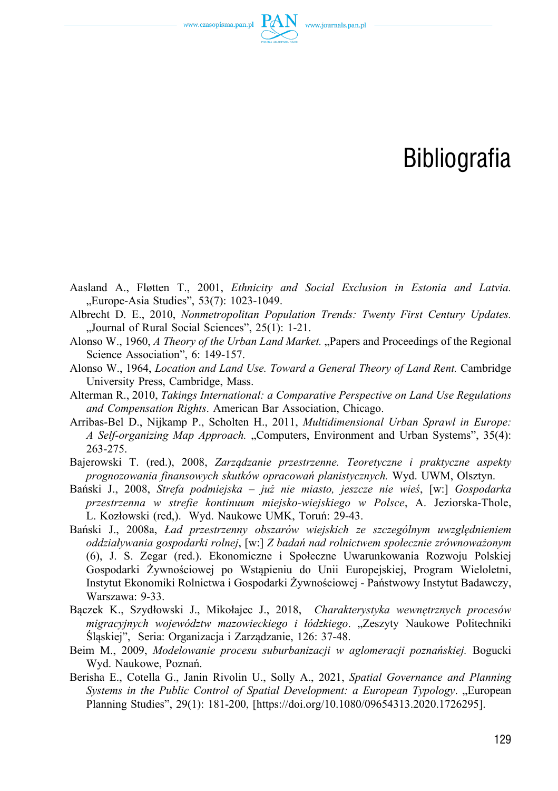www.czasopisma.pan.pl  $\Gamma$ <sup>2</sup>

## Bibliografia

- Aasland A., Fløtten T., 2001, *Ethnicity and Social Exclusion in Estonia and Latvia.*  "Europe-Asia Studies", 53(7): 1023-1049.
- Albrecht D. E., 2010, *Nonmetropolitan Population Trends: Twenty First Century Updates.*  "Journal of Rural Social Sciences", 25(1): 1-21.
- Alonso W., 1960, *A Theory of the Urban Land Market.* "Papers and Proceedings of the Regional Science Association", 6: 149-157.
- Alonso W., 1964, *Location and Land Use. Toward a General Theory of Land Rent.* Cambridge University Press, Cambridge, Mass.
- Alterman R., 2010, *Takings International: a Comparative Perspective on Land Use Regulations and Compensation Rights*. American Bar Association, Chicago.
- Arribas‑Bel D., Nijkamp P., Scholten H., 2011, *Multidimensional Urban Sprawl in Europe: A Self‑organizing Map Approach.* "Computers, Environment and Urban Systems", 35(4): 263‑275.
- Bajerowski T. (red.), 2008, *Zarządzanie przestrzenne. Teoretyczne i praktyczne aspekty prognozowania finansowych skutków opracowań planistycznych.* Wyd. UWM, Olsztyn.
- Bański J., 2008, *Strefa podmiejska już nie miasto, jeszcze nie wieś*, [w:] *Gospodarka przestrzenna w strefie kontinuum miejsko‑wiejskiego w Polsce*, A. Jeziorska‑Thole, L. Kozłowski (red,). Wyd. Naukowe UMK, Toruń: 29-43.
- Bański J., 2008a, *Ład przestrzenny obszarów wiejskich ze szczególnym uwzględnieniem oddziaływania gospodarki rolnej*, [w:] *Z badań nad rolnictwem społecznie zrównoważonym*  (6), J. S. Zegar (red.). Ekonomiczne i Społeczne Uwarunkowania Rozwoju Polskiej Gospodarki Żywnościowej po Wstąpieniu do Unii Europejskiej, Program Wieloletni, Instytut Ekonomiki Rolnictwa i Gospodarki Żywnościowej ‑ Państwowy Instytut Badawczy, Warszawa: 9‑33.
- Bączek K., Szydłowski J., Mikołajec J., 2018, *Charakterystyka wewnętrznych procesów migracyjnych województw mazowieckiego i łódzkiego*. "Zeszyty Naukowe Politechniki Śląskiej", Seria: Organizacja i Zarządzanie, 126: 37‑48.
- Beim M., 2009, *Modelowanie procesu suburbanizacji w aglomeracji poznańskiej.* Bogucki Wyd. Naukowe, Poznań.
- Berisha E., Cotella G., Janin Rivolin U., Solly A., 2021, *Spatial Governance and Planning Systems in the Public Control of Spatial Development: a European Typology.* "European Planning Studies", 29(1): 181‑200, [\[https://doi.org/10.1080/09654313.2020.1726295\].](https://doi.org/10.1080/09654313.2020.1726295])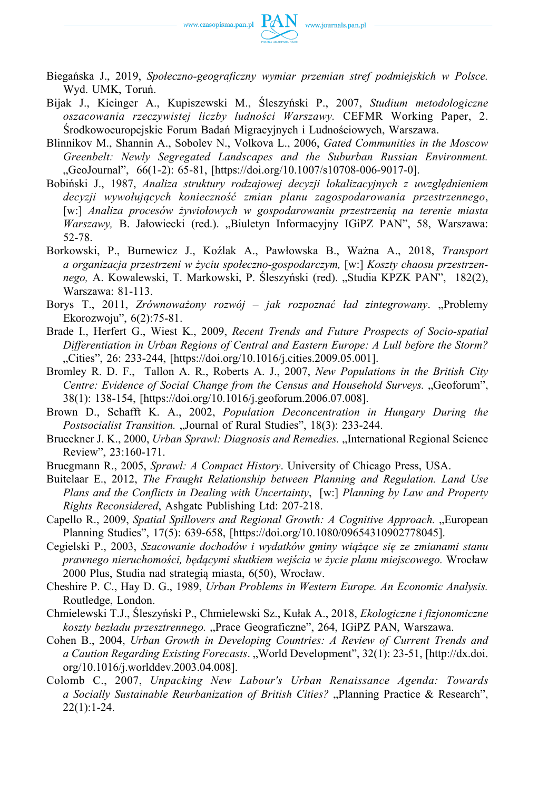

- Biegańska J., 2019, *Społeczno‑geograficzny wymiar przemian stref podmiejskich w Polsce.*  Wyd. UMK, Toruń.
- Bijak J., Kicinger A., Kupiszewski M., Śleszyński P., 2007, *Studium metodologiczne oszacowania rzeczywistej liczby ludności Warszawy.* CEFMR Working Paper, 2. Środkowoeuropejskie Forum Badań Migracyjnych i Ludnościowych, Warszawa.
- Blinnikov M., Shannin A., Sobolev N., Volkova L., 2006, *Gated Communities in the Moscow Greenbelt: Newly Segregated Landscapes and the Suburban Russian Environment.*  "GeoJournal", 66(1‑2): 65‑81, [\[https://doi.org/10.1007/s10708‑006‑9017‑0\].](https://doi.org/10.1007/s10708-006-9017-0])
- Bobiński J., 1987, *Analiza struktury rodzajowej decyzji lokalizacyjnych z uwzględnieniem decyzji wywołujących konieczność zmian planu zagospodarowania przestrzennego*, [w:] *Analiza procesów żywiołowych w gospodarowaniu przestrzenią na terenie miasta Warszawy, B. Jałowiecki (red.). "Biuletyn Informacyjny IGiPZ PAN", 58, Warszawa:* 52‑78.
- Borkowski, P., Burnewicz J., Koźlak A., Pawłowska B., Ważna A., 2018, *Transport a organizacja przestrzeni w życiu społeczno‑gospodarczym,* [w:] *Koszty chaosu przestrzennego,* A. Kowalewski, T. Markowski, P. Śleszyński (red). "Studia KPZK PAN", 182(2), Warszawa: 81‑113.
- Borys T., 2011, *Zrównoważony rozwój jak rozpoznać ład zintegrowany*. "Problemy Ekorozwoju", 6(2):75‑81.
- Brade I., Herfert G., Wiest K., 2009, *Recent Trends and Future Prospects of Socio‑spatial Differentiation in Urban Regions of Central and Eastern Europe: A Lull before the Storm?*  "Cities", 26: 233-244, [\[https://doi.org/10.1016/j.cities.2009.05.001\].](https://doi.org/10.1016/j.cities.2009.05.001])
- Bromley R. D. F., Tallon A. R., Roberts A. J., 2007, *New Populations in the British City Centre: Evidence of Social Change from the Census and Household Surveys.* "Geoforum", 38(1): 138‑154, [\[https://doi.org/10.1016/j.geoforum.2006.07.008\].](https://doi.org/10.1016/j.geoforum.2006.07.008])
- Brown D., Schafft K. A., 2002, *Population Deconcentration in Hungary During the Postsocialist Transition.* "Journal of Rural Studies", 18(3): 233-244.
- Brueckner J. K., 2000, *Urban Sprawl: Diagnosis and Remedies.* "International Regional Science Review", 23:160‑171.
- Bruegmann R., 2005, *Sprawl: A Compact History*. University of Chicago Press, USA.
- Buitelaar E., 2012, *The Fraught Relationship between Planning and Regulation. Land Use Plans and the Conflicts in Dealing with Uncertainty*, [w:] *Planning by Law and Property Rights Reconsidered*, Ashgate Publishing Ltd: 207‑218.
- Capello R., 2009, *Spatial Spillovers and Regional Growth: A Cognitive Approach.* "European Planning Studies", 17(5): 639‑658, [\[https://doi.org/10.1080/09654310902778045\].](https://doi.org/10.1080/09654310902778045])
- Cegielski P., 2003, *Szacowanie dochodów i wydatków gminy wiążące się ze zmianami stanu prawnego nieruchomości, będącymi skutkiem wejścia w życie planu miejscowego.* Wrocław 2000 Plus, Studia nad strategią miasta, 6(50), Wrocław.
- Cheshire P. C., Hay D. G., 1989, *Urban Problems in Western Europe. An Economic Analysis.*  Routledge, London.
- Chmielewski T.J., Śleszyński P., Chmielewski Sz., Kułak A., 2018, *Ekologiczne i fizjonomiczne koszty bezładu przesztrennego.* "Prace Geograficzne", 264, IGiPZ PAN, Warszawa.
- Cohen B., 2004, *Urban Growth in Developing Countries: A Review of Current Trends and a Caution Regarding Existing Forecasts*. "World Development", 32(1): 23‑51, [\[http://dx.doi.](http://dx.doi.org/10.1016/j.worlddev.2003.04.008])  [org/10.1016/j.worlddev.2003.04.008\].](http://dx.doi.org/10.1016/j.worlddev.2003.04.008])
- Colomb C., 2007, *Unpacking New Labour's Urban Renaissance Agenda: Towards a Socially Sustainable Reurbanization of British Cities?* "Planning Practice & Research",  $22(1):1-24.$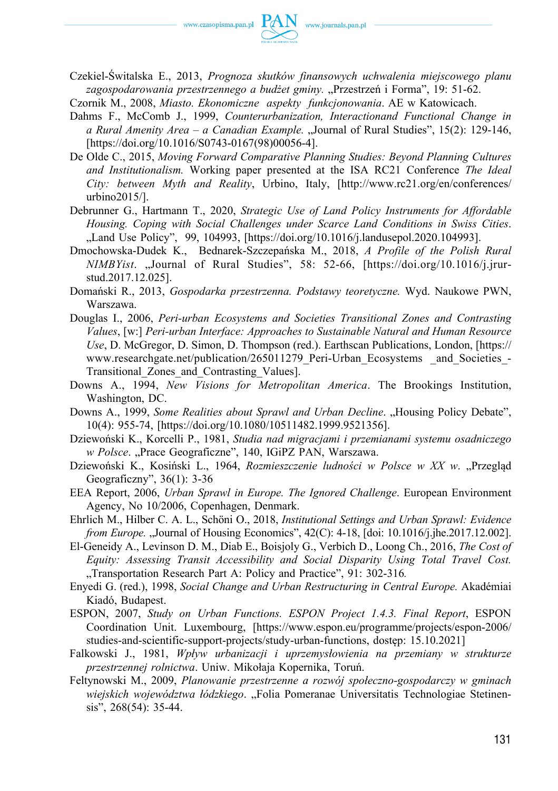

Czekiel‑Świtalska E., 2013, *Prognoza skutków finansowych uchwalenia miejscowego planu*  zagospodarowania przestrzennego a budżet gminy. "Przestrzeń i Forma", 19: 51-62.

Czornik M., 2008, *Miasto. Ekonomiczne aspekty funkcjonowania*. AE w Katowicach.

- Dahms F., McComb J., 1999, *Counterurbanization, Interactionand Functional Change in a Rural Amenity Area – a Canadian Example.* "Journal of Rural Studies", 15(2): 129-146, [https://doi.org/10.1016/S0743-0167(98)00056-4].
- De Olde C., 2015, *Moving Forward Comparative Planning Studies: Beyond Planning Cultures and Institutionalism.* Working paper presented at the ISA RC21 Conference *The Ideal City: between Myth and Reality*, Urbino, Italy, [\[http://www.rc21.org/en/conferences/](http://www.rc21.org/en/conferences/urbino2015/])  [urbino2015/\].](http://www.rc21.org/en/conferences/urbino2015/])
- Debrunner G., Hartmann T., 2020, *Strategic Use of Land Policy Instruments for Affordable Housing. Coping with Social Challenges under Scarce Land Conditions in Swiss Cities*. "Land Use Policy", 99, 104993, [https://doi.org/10.1016/j.landusepol.2020.104993].
- Dmochowska‑Dudek K., Bednarek‑Szczepańska M., 2018, *A Profile of the Polish Rural NIMBYist*. "Journal of Rural Studies", 58: 52‑66, [\[https://doi.org/10.1016/j.jrur](https://doi.org/10.1016/j.jrurstud.2017.12.025])[stud.2017.12.025\].](https://doi.org/10.1016/j.jrurstud.2017.12.025])
- Domański R., 2013, *Gospodarka przestrzenna. Podstawy teoretyczne.* Wyd. Naukowe PWN, Warszawa.
- Douglas I., 2006, *Peri‑urban Ecosystems and Societies Transitional Zones and Contrasting Values*, [w:] *Peri‑urban Interface: Approaches to Sustainable Natural and Human Resource Use*, D. McGregor, D. Simon, D. Thompson (red.). Earthscan Publications, London, [\[https://](https://www.researchgate.net/publication/265011279_Peri-Urban_Ecosystems_and_Societies_Transitional_Zones_and_Contrasting_Values])  www.researchgate.net/publication/265011279 Peri-Urban Ecosystems and Societies -[Transitional\\_Zones\\_and\\_Contrasting\\_Values\].](https://www.researchgate.net/publication/265011279_Peri-Urban_Ecosystems_and_Societies_Transitional_Zones_and_Contrasting_Values])
- Downs A., 1994, *New Visions for Metropolitan America*. The Brookings Institution, Washington, DC.
- Downs A., 1999, *Some Realities about Sprawl and Urban Decline*. "Housing Policy Debate", 10(4): 955‑74, [\[https://doi.org/10.1080/10511482.1999.9521356\].](https://doi.org/10.1080/10511482.1999.9521356])
- Dziewoński K., Korcelli P., 1981, *Studia nad migracjami i przemianami systemu osadniczego w Polsce*. "Prace Geograficzne", 140, IGiPZ PAN, Warszawa.
- Dziewoński K., Kosiński L., 1964, *Rozmieszczenie ludności w Polsce w XX w.* "Przegląd Geograficzny", 36(1): 3‑36
- EEA Report, 2006, *Urban Sprawl in Europe. The Ignored Challenge*. European Environment Agency, No 10/2006, Copenhagen, Denmark.
- Ehrlich M., Hilber C. A. L., Schöni O., 2018, *Institutional Settings and Urban Sprawl: Evidence from Europe.* "Journal of Housing Economics", 42(C): 4-18, [doi: 10.1016/j.jhe.2017.12.002].
- El‑Geneidy A., Levinson D. M., Diab E., Boisjoly G., Verbich D., Loong Ch., 2016, *The Cost of Equity: Assessing Transit Accessibility and Social Disparity Using Total Travel Cost.*  "Transportation Research Part A: Policy and Practice", 91: 302-316.
- Enyedi G. (red.), 1998, *Social Change and Urban Restructuring in Central Europe.* Akadémiai Kiadó, Budapest.
- ESPON, 2007, *Study on Urban Functions. ESPON Project 1.4.3. Final Report*, ESPON Coordination Unit. Luxembourg, [\[https://www.espon.eu/programme/projects/espon‑2006/](https://www.espon.eu/programme/projects/espon-2006/studies-and-scientific-support-projects/study-urban-functions)  studies-and-scientific-support-projects/study-urban-functions, dostęp: 15.10.2021]
- Falkowski J., 1981, *Wpływ urbanizacji i uprzemysłowienia na przemiany w strukturze przestrzennej rolnictwa*. Uniw. Mikołaja Kopernika, Toruń.
- Feltynowski M., 2009, *Planowanie przestrzenne a rozwój społeczno‑gospodarczy w gminach wiejskich województwa łódzkiego.* "Folia Pomeranae Universitatis Technologiae Stetinensis", 268(54): 35-44.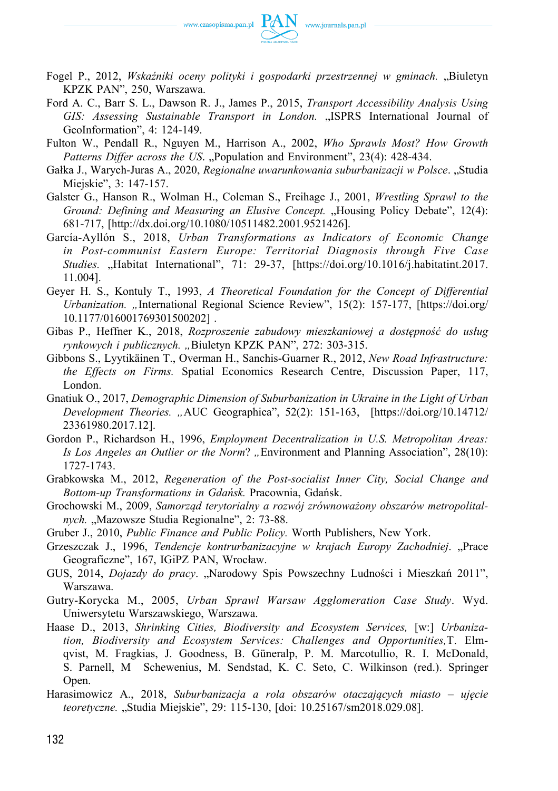

- Fogel P., 2012, Wskaźniki oceny polityki i gospodarki przestrzennej w gminach. "Biuletyn KPZK PAN", 250, Warszawa.
- Ford A. C., Barr S. L., Dawson R. J., James P., 2015, *Transport Accessibility Analysis Using GIS: Assessing Sustainable Transport in London.* "ISPRS International Journal of GeoInformation", 4: 124‑149.
- Fulton W., Pendall R., Nguyen M., Harrison A., 2002, *Who Sprawls Most? How Growth Patterns Differ across the US.* "Population and Environment", 23(4): 428-434.
- Gałka J., Warych‑Juras A., 2020, *Regionalne uwarunkowania suburbanizacji w Polsce*. "Studia Miejskie", 3: 147‑157.
- Galster G., Hanson R., Wolman H., Coleman S., Freihage J., 2001, *Wrestling Sprawl to the Ground: Defining and Measuring an Elusive Concept.* "Housing Policy Debate", 12(4): 681‑717, [\[http://dx.doi.org/10.1080/10511482.2001.9521426\].](http://dx.doi.org/10.1080/10511482.2001.9521426])
- García‑Ayllón S., 2018, *Urban Transformations as Indicators of Economic Change in Post‑communist Eastern Europe: Territorial Diagnosis through Five Case Studies.* "Habitat International", 71: 29‑37, [\[https://doi.org/10.1016/j.habitatint.2017.](https://doi.org/10.1016/j.habitatint.2017.11.004])  [11.004\].](https://doi.org/10.1016/j.habitatint.2017.11.004])
- Geyer H. S., Kontuly T., 1993, *A Theoretical Foundation for the Concept of Differential Urbanization. "*International Regional Science Review", 15(2): 157-177, [https://doi.org/ [10.1177/016001769301500202\]](https://doi.org/10.1177/016001769301500202]) .
- Gibas P., Heffner K., 2018, *Rozproszenie zabudowy mieszkaniowej a dostępność do usług rynkowych i publicznych. "*Biuletyn KPZK PAN", 272: 303‑315.
- Gibbons S., Lyytikäinen T., Overman H., Sanchis‑Guarner R., 2012, *New Road Infrastructure: the Effects on Firms.* Spatial Economics Research Centre, Discussion Paper, 117, London.
- Gnatiuk O., 2017, *Demographic Dimension of Suburbanization in Ukraine in the Light of Urban Development Theories. "*AUC Geographica", 52(2): 151‑163, [[https://doi.org/10.14712/](https://doi.org/10.14712/23361980.2017.12])  [23361980.2017.12\].](https://doi.org/10.14712/23361980.2017.12])
- Gordon P., Richardson H., 1996, *Employment Decentralization in U.S. Metropolitan Areas: Is Los Angeles an Outlier or the Norm*? "Environment and Planning Association", 28(10): 1727‑1743.
- Grabkowska M., 2012, *Regeneration of the Post‑socialist Inner City, Social Change and Bottom‑up Transformations in Gdańsk.* Pracownia, Gdańsk.
- Grochowski M., 2009, *Samorząd terytorialny a rozwój zrównoważony obszarów metropolital*nych. "Mazowsze Studia Regionalne", 2: 73-88.
- Gruber J., 2010, *Public Finance and Public Policy.* Worth Publishers, New York.
- Grzeszczak J., 1996, *Tendencje kontrurbanizacyjne w krajach Europy Zachodniej.* "Prace Geograficzne", 167, IGiPZ PAN, Wrocław.
- GUS, 2014, *Dojazdy do pracy*. "Narodowy Spis Powszechny Ludności i Mieszkań 2011", Warszawa.
- Gutry‑Korycka M., 2005, *Urban Sprawl Warsaw Agglomeration Case Study*. Wyd. Uniwersytetu Warszawskiego, Warszawa.
- Haase D., 2013, *Shrinking Cities, Biodiversity and Ecosystem Services,* [w:] *Urbanization, Biodiversity and Ecosystem Services: Challenges and Opportunities,*T. Elmqvist, M. Fragkias, J. Goodness, B. Güneralp, P. M. Marcotullio, R. I. McDonald, S. Parnell, M Schewenius, M. Sendstad, K. C. Seto, C. Wilkinson (red.). Springer Open.
- Harasimowicz A., 2018, *Suburbanizacja a rola obszarów otaczających miasto ujęcie teoretyczne.* "Studia Miejskie", 29: 115‑130, [doi: 10.25167/sm2018.029.08].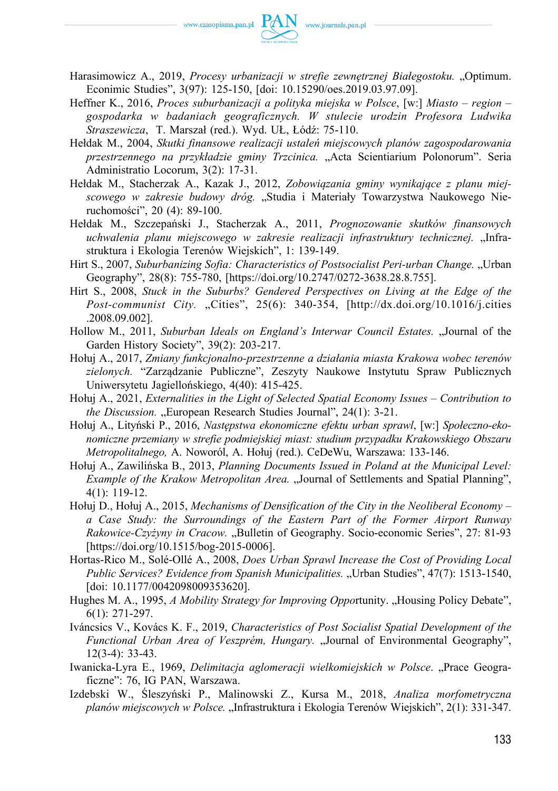

- Harasimowicz A., 2019, *Procesy urbanizacji w strefie zewnętrznej Białegostoku.* "Optimum. Econimic Studies", 3(97): 125‑150, [doi: 10.15290/oes.2019.03.97.09].
- Heffner K., 2016, *Proces suburbanizacji a polityka miejska w Polsce*, [w:] *Miasto region gospodarka w badaniach geograficznych. W stulecie urodzin Profesora Ludwika Straszewicza*, T. Marszał (red.). Wyd. UŁ, Łódź: 75‑110.
- Hełdak M., 2004, *Skutki finansowe realizacji ustaleń miejscowych planów zagospodarowania przestrzennego na przykładzie gminy Trzcinica.* "Acta Scientiarium Polonorum". Seria Administratio Locorum, 3(2): 17‑31.
- Hełdak M., Stacherzak A., Kazak J., 2012, *Zobowiązania gminy wynikające z planu miejscowego w zakresie budowy dróg.* "Studia i Materiały Towarzystwa Naukowego Nieruchomości", 20 (4): 89‑100.
- Hełdak M., Szczepański J., Stacherzak A., 2011, *Prognozowanie skutków finansowych uchwalenia planu miejscowego w zakresie realizacji infrastruktury technicznej.* "Infrastruktura i Ekologia Terenów Wiejskich", 1: 139‑149.
- Hirt S., 2007, *Suburbanizing Sofia: Characteristics of Postsocialist Peri-urban Change.* "Urban Geography", 28(8): 755-780, [https://doi.org/10.2747/0272-3638.28.8.755].
- Hirt S., 2008, *Stuck in the Suburbs? Gendered Perspectives on Living at the Edge of the*  Post-communist City. "Cities", 25(6): 340-354, [http://dx.doi.org/10.1016/j.cities [.2008.09.002\].](http://dx.doi.org/10.1016/j.cities.2008.09.002])
- Hollow M., 2011, *Suburban Ideals on England's Interwar Council Estates.* "Journal of the Garden History Society", 39(2): 203‑217.
- Hołuj A., 2017, *Zmiany funkcjonalno‑przestrzenne a działania miasta Krakowa wobec terenów zielonych.* "Zarządzanie Publiczne", Zeszyty Naukowe Instytutu Spraw Publicznych Uniwersytetu Jagiellońskiego, 4(40): 415‑425.
- Hołuj A., 2021, *Externalities in the Light of Selected Spatial Economy Issues Contribution to the Discussion.* "European Research Studies Journal", 24(1): 3-21.
- Hołuj A., Lityński P., 2016, *Następstwa ekonomiczne efektu urban sprawl*, [w:] *Społeczno-ekonomiczne przemiany w strefie podmiejskiej miast: studium przypadku Krakowskiego Obszaru Metropolitalnego,* A. Noworól, A. Hołuj (red.). CeDeWu, Warszawa: 133‑146.
- Hołuj A., Zawilińska B., 2013, *Planning Documents Issued in Poland at the Municipal Level: Example of the Krakow Metropolitan Area.* "Journal of Settlements and Spatial Planning", 4(1): 119‑12.
- Hołuj D., Hołuj A., 2015, *Mechanisms of Densification of the City in the Neoliberal Economy a Case Study: the Surroundings of the Eastern Part of the Former Airport Runway Rakowice-Czyżyny in Cracow.* "Bulletin of Geography. Socio-economic Series", 27: 81-93 [https://doi.org/10.1515/bog-2015-0006].
- Hortas‑Rico M., Solé‑Ollé A., 2008, *Does Urban Sprawl Increase the Cost of Providing Local Public Services? Evidence from Spanish Municipalities.* "Urban Studies", 47(7): 1513-1540, [doi: 10.1177/0042098009353620].
- Hughes M. A., 1995, *A Mobility Strategy for Improving Opportunity.* "Housing Policy Debate", 6(1): 271‑297.
- Iváncsics V., Kovács K. F., 2019, *Characteristics of Post Socialist Spatial Development of the*  Functional Urban Area of Veszprém, Hungary. "Journal of Environmental Geography",  $12(3-4)$ : 33-43.
- Iwanicka‑Lyra E., 1969, *Delimitacja aglomeracji wielkomiejskich w Polsce*. "Prace Geograficzne": 76, IG PAN, Warszawa.
- Izdebski W., Śleszyński P., Malinowski Z., Kursa M., 2018, *Analiza morfometryczna planów miejscowych w Polsce.* "Infrastruktura i Ekologia Terenów Wiejskich", 2(1): 331‑347.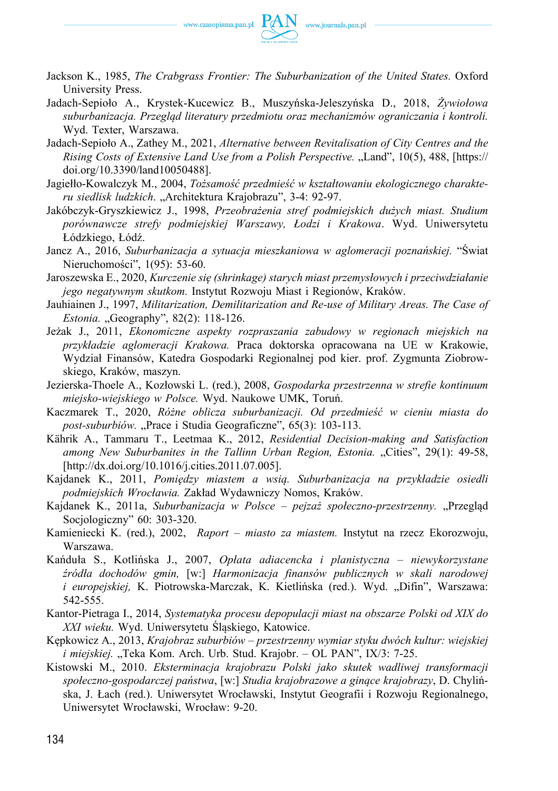

- Jackson K., 1985, *The Crabgrass Frontier: The Suburbanization of the United States.* Oxford University Press.
- Jadach‑Sepioło A., Krystek‑Kucewicz B., Muszyńska‑Jeleszyńska D., 2018, *Żywiołowa suburbanizacja. Przegląd literatury przedmiotu oraz mechanizmów ograniczania i kontroli.*  Wyd. Texter, Warszawa.
- Jadach‑Sepioło A., Zathey M., 2021, *Alternative between Revitalisation of City Centres and the Rising Costs of Extensive Land Use from a Polish Perspective.* "Land", 10(5), 488, [https:// [doi.org/10.3390/land10050488\].](https://doi.org/10.3390/land10050488])
- Jagiełło-Kowalczyk M., 2004, *Tożsamość przedmieść w kształtowaniu ekologicznego charakteru siedlisk ludzkich*. "Architektura Krajobrazu", 3‑4: 92‑97.
- Jakóbczyk‑Gryszkiewicz J., 1998, *Przeobrażenia stref podmiejskich dużych miast. Studium porównawcze strefy podmiejskiej Warszawy, Łodzi i Krakowa*. Wyd. Uniwersytetu Łódzkiego, Łódź.
- Jancz A., 2016, *Suburbanizacja a sytuacja mieszkaniowa w aglomeracji poznańskiej.* "Świat Nieruchomości", 1(95): 53‑60.
- Jaroszewska E., 2020, *Kurczenie się (shrinkage) starych miast przemysłowych i przeciwdziałanie jego negatywnym skutkom.* Instytut Rozwoju Miast i Regionów, Kraków.
- Jauhiainen J., 1997, *Militarization, Demilitarization and Re‑use of Military Areas. The Case of Estonia.* "Geography", 82(2): 118-126.
- Jeżak J., 2011, *Ekonomiczne aspekty rozpraszania zabudowy w regionach miejskich na przykładzie aglomeracji Krakowa.* Praca doktorska opracowana na UE w Krakowie, Wydział Finansów, Katedra Gospodarki Regionalnej pod kier. prof. Zygmunta Ziobrowskiego, Kraków, maszyn.
- Jezierska‑Thoele A., Kozłowski L. (red.), 2008, *Gospodarka przestrzenna w strefie kontinuum miejsko‑wiejskiego w Polsce.* Wyd. Naukowe UMK, Toruń.
- Kaczmarek T., 2020, *Różne oblicza suburbanizacji. Od przedmieść w cieniu miasta do*  post-suburbiów. "Prace i Studia Geograficzne", 65(3): 103-113.
- Kährik A., Tammaru T., Leetmaa K., 2012, *Residential Decision‑making and Satisfaction among New Suburbanites in the Tallinn Urban Region, Estonia.* "Cities", 29(1): 49-58, [\[http://dx.doi.org/10.1016/j.cities.2011.07.005\].](http://dx.doi.org/10.1016/j.cities.2011.07.005])
- Kajdanek K., 2011, *Pomiędzy miastem a wsią. Suburbanizacja na przykładzie osiedli podmiejskich Wrocławia.* Zakład Wydawniczy Nomos, Kraków.
- Kajdanek K., 2011a, *Suburbanizacja w Polsce pejzaż społeczno-przestrzenny.* "Przegląd Socjologiczny" 60: 303‑320.
- Kamieniecki K. (red.), 2002, *Raport miasto za miastem.* Instytut na rzecz Ekorozwoju, Warszawa.
- Kańduła S., Kotlińska J., 2007, *Opłata adiacencka i planistyczna niewykorzystane źródła dochodów gmin,* [w:] *Harmonizacja finansów publicznych w skali narodowej i europejskiej*, K. Piotrowska-Marczak, K. Kietlińska (red.). Wyd. "Difin", Warszawa: 542‑555.
- Kantor‑Pietraga I., 2014, *Systematyka procesu depopulacji miast na obszarze Polski od XIX do XXI wieku.* Wyd. Uniwersytetu Śląskiego, Katowice.
- Kępkowicz A., 2013, *Krajobraz suburbiów przestrzenny wymiar styku dwóch kultur: wiejskiej i miejskiej.* "Teka Kom. Arch. Urb. Stud. Krajobr. – OL PAN", IX/3: 7-25.
- Kistowski M., 2010. *Eksterminacja krajobrazu Polski jako skutek wadliwej transformacji społeczno‑gospodarczej państwa*, [w:] *Studia krajobrazowe a ginące krajobrazy*, D. Chylińska, J. Łach (red.). Uniwersytet Wrocławski, Instytut Geografii i Rozwoju Regionalnego, Uniwersytet Wrocławski, Wrocław: 9‑20.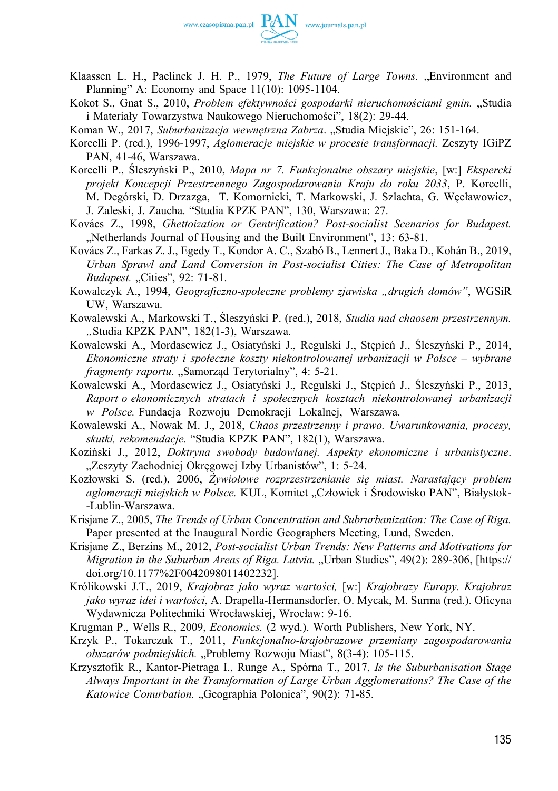

- Klaassen L. H., Paelinck J. H. P., 1979, *The Future of Large Towns.* "Environment and Planning" A: Economy and Space 11(10): 1095‑1104.
- Kokot S., Gnat S., 2010, *Problem efektywności gospodarki nieruchomościami gmin.* "Studia i Materiały Towarzystwa Naukowego Nieruchomości", 18(2): 29‑44.
- Koman W., 2017, *Suburbanizacja wewnętrzna Zabrza.* "Studia Miejskie", 26: 151-164.
- Korcelli P. (red.), 1996‑1997, *Aglomeracje miejskie w procesie transformacji.* Zeszyty IGiPZ PAN, 41-46, Warszawa.
- Korcelli P., Śleszyński P., 2010, *Mapa nr 7. Funkcjonalne obszary miejskie*, [w:] *Ekspercki projekt Koncepcji Przestrzennego Zagospodarowania Kraju do roku 2033*, P. Korcelli, M. Degórski, D. Drzazga, T. Komornicki, T. Markowski, J. Szlachta, G. Węcławowicz, J. Zaleski, J. Zaucha. "Studia KPZK PAN", 130, Warszawa: 27.
- Kovács Z., 1998, *Ghettoization or Gentrification? Post‑socialist Scenarios for Budapest.*  "Netherlands Journal of Housing and the Built Environment", 13: 63-81.
- Kovács Z., Farkas Z. J., Egedy T., Kondor A. C., Szabó B., Lennert J., Baka D., Kohán B., 2019, *Urban Sprawl and Land Conversion in Post‑socialist Cities: The Case of Metropolitan Budapest.* "Cities", 92: 71-81.
- Kowalczyk A., 1994, *Geograficzno‑społeczne problemy zjawiska "drugich domów"*, WGSiR UW, Warszawa.
- Kowalewski A., Markowski T., Śleszyński P. (red.), 2018, *Studia nad chaosem przestrzennym.*  "Studia KPZK PAN", 182(1-3), Warszawa.
- Kowalewski A., Mordasewicz J., Osiatyński J., Regulski J., Stępień J., Śleszyński P., 2014, *Ekonomiczne straty i społeczne koszty niekontrolowanej urbanizacji w Polsce – wybrane fragmenty raportu.* "Samorząd Terytorialny", 4: 5-21.
- Kowalewski A., Mordasewicz J., Osiatyński J., Regulski J., Stępień J., Śleszyński P., 2013, *Raport o ekonomicznych stratach i społecznych kosztach niekontrolowanej urbanizacji w Polsce.* Fundacja Rozwoju Demokracji Lokalnej, Warszawa.
- Kowalewski A., Nowak M. J., 2018, *Chaos przestrzenny i prawo. Uwarunkowania, procesy, skutki, rekomendacje.* "Studia KPZK PAN", 182(1), Warszawa.
- Koziński J., 2012, *Doktryna swobody budowlanej. Aspekty ekonomiczne i urbanistyczne*. "Zeszyty Zachodniej Okręgowej Izby Urbanistów", 1: 5-24.
- Kozłowski S. (red.), 2006, *Żywiołowe rozprzestrzenianie się miast. Narastający problem aglomeracji miejskich w Polsce.* KUL, Komitet "Człowiek i Środowisko PAN", Białystok- ‑Lublin‑Warszawa.
- Krisjane Z., 2005, *The Trends of Urban Concentration and Subrurbanization: The Case of Riga.*  Paper presented at the Inaugural Nordic Geographers Meeting, Lund, Sweden.
- Krisjane Z., Berzins M., 2012, *Post‑socialist Urban Trends: New Patterns and Motivations for Migration in the Suburban Areas of Riga. Latvia.* "Urban Studies", 49(2): 289-306, [https:// [doi.org/10.1177%2F0042098011402232\].](https://doi.org/10.1177%2F0042098011402232])
- Królikowski J.T., 2019, *Krajobraz jako wyraz wartości,* [w:] *Krajobrazy Europy. Krajobraz jako wyraz idei i wartości*, A. Drapella‑Hermansdorfer, O. Mycak, M. Surma (red.). Oficyna Wydawnicza Politechniki Wrocławskiej, Wrocław: 9‑16.
- Krugman P., Wells R., 2009, *Economics.* (2 wyd.). Worth Publishers, New York, NY.
- Krzyk P., Tokarczuk T., 2011, *Funkcjonalno‑krajobrazowe przemiany zagospodarowania obszarów podmiejskich.* "Problemy Rozwoju Miast", 8(3-4): 105-115.
- Krzysztofik R., Kantor‑Pietraga I., Runge A., Spórna T., 2017, *Is the Suburbanisation Stage Always Important in the Transformation of Large Urban Agglomerations? The Case of the Katowice Conurbation.* "Geographia Polonica", 90(2): 71-85.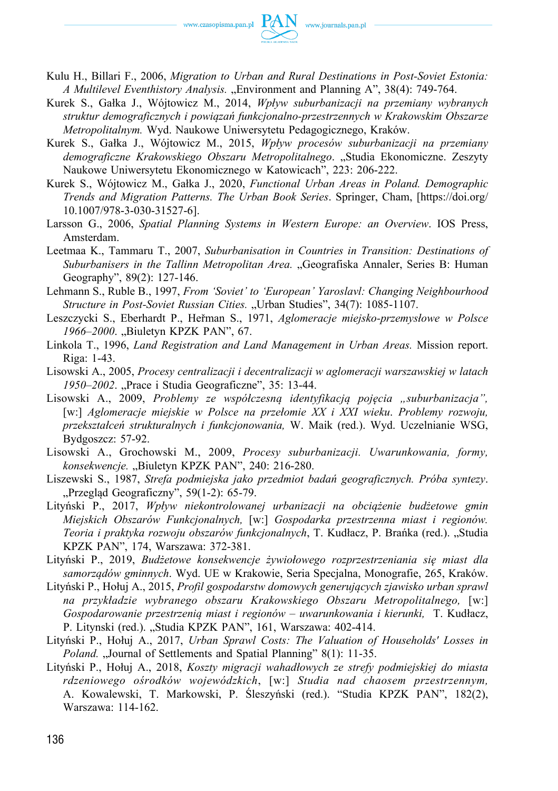

- Kulu H., Billari F., 2006, *Migration to Urban and Rural Destinations in Post‑Soviet Estonia: A Multilevel Eventhistory Analysis.* "Environment and Planning A", 38(4): 749‑764.
- Kurek S., Gałka J., Wójtowicz M., 2014, *Wpływ suburbanizacji na przemiany wybranych struktur demograficznych i powiązań funkcjonalno‑przestrzennych w Krakowskim Obszarze Metropolitalnym.* Wyd. Naukowe Uniwersytetu Pedagogicznego, Kraków.
- Kurek S., Gałka J., Wójtowicz M., 2015, *Wpływ procesów suburbanizacji na przemiany demograficzne Krakowskiego Obszaru Metropolitalnego*. "Studia Ekonomiczne. Zeszyty Naukowe Uniwersytetu Ekonomicznego w Katowicach", 223: 206‑222.
- Kurek S., Wójtowicz M., Gałka J., 2020, *Functional Urban Areas in Poland. Demographic Trends and Migration Patterns. The Urban Book Series*. Springer, Cham, [[https://doi.org/](https://doi.org/10.1007/978-3-030-31527-6])  [10.1007/978‑3‑030‑31527‑6\].](https://doi.org/10.1007/978-3-030-31527-6])
- Larsson G., 2006, *Spatial Planning Systems in Western Europe: an Overview*. IOS Press, Amsterdam.
- Leetmaa K., Tammaru T., 2007, *Suburbanisation in Countries in Transition: Destinations of Suburbanisers in the Tallinn Metropolitan Area.* "Geografiska Annaler, Series B: Human Geography", 89(2): 127‑146.
- Lehmann S., Ruble B., 1997, *From 'Soviet' to 'European' Yaroslavl: Changing Neighbourhood Structure in Post-Soviet Russian Cities.* "Urban Studies", 34(7): 1085-1107.
- Leszczycki S., Eberhardt P., Heřman S., 1971, *Aglomeracje miejsko‑przemysłowe w Polsce*  1966–2000. "Biuletyn KPZK PAN", 67.
- Linkola T., 1996, *Land Registration and Land Management in Urban Areas.* Mission report. Riga: 1‑43.
- Lisowski A., 2005, *Procesy centralizacji i decentralizacji w aglomeracji warszawskiej w latach 1950–2002*. "Prace i Studia Geograficzne", 35: 13-44.
- Lisowski A., 2009, *Problemy ze współczesną identyfikacją pojęcia "suburbanizacja"*, [w:] *Aglomeracje miejskie w Polsce na przełomie XX i XXI wieku*. *Problemy rozwoju, przekształceń strukturalnych i funkcjonowania,* W. Maik (red.). Wyd. Uczelnianie WSG, Bydgoszcz: 57‑92.
- Lisowski A., Grochowski M., 2009, *Procesy suburbanizacji. Uwarunkowania, formy, konsekwencje.* "Biuletyn KPZK PAN", 240: 216-280.
- Liszewski S., 1987, *Strefa podmiejska jako przedmiot badań geograficznych. Próba syntezy*. "Przegląd Geograficzny", 59(1-2): 65-79.
- Lityński P., 2017, *Wpływ niekontrolowanej urbanizacji na obciążenie budżetowe gmin Miejskich Obszarów Funkcjonalnych,* [w:] *Gospodarka przestrzenna miast i regionów. Teoria i praktyka rozwoju obszarów funkcjonalnych*, T. Kudłacz, P. Brańka (red.). "Studia KPZK PAN", 174, Warszawa: 372‑381.
- Lityński P., 2019, *Budżetowe konsekwencje żywiołowego rozprzestrzeniania się miast dla samorządów gminnych*. Wyd. UE w Krakowie, Seria Specjalna, Monografie, 265, Kraków.
- Lityński P., Hołuj A., 2015, *Profil gospodarstw domowych generujących zjawisko urban sprawl na przykładzie wybranego obszaru Krakowskiego Obszaru Metropolitalnego,* [w:] *Gospodarowanie przestrzenią miast i regionów – uwarunkowania i kierunki,* T. Kudłacz, P. Litynski (red.). "Studia KPZK PAN", 161, Warszawa: 402-414.
- Lityński P., Hołuj A., 2017, *Urban Sprawl Costs: The Valuation of Households' Losses in Poland.* "Journal of Settlements and Spatial Planning" 8(1): 11-35.
- Lityński P., Hołuj A., 2018, *Koszty migracji wahadłowych ze strefy podmiejskiej do miasta rdzeniowego ośrodków wojewódzkich*, [w:] *Studia nad chaosem przestrzennym,*  A. Kowalewski, T. Markowski, P. Śleszyński (red.). "Studia KPZK PAN", 182(2), Warszawa: 114‑162.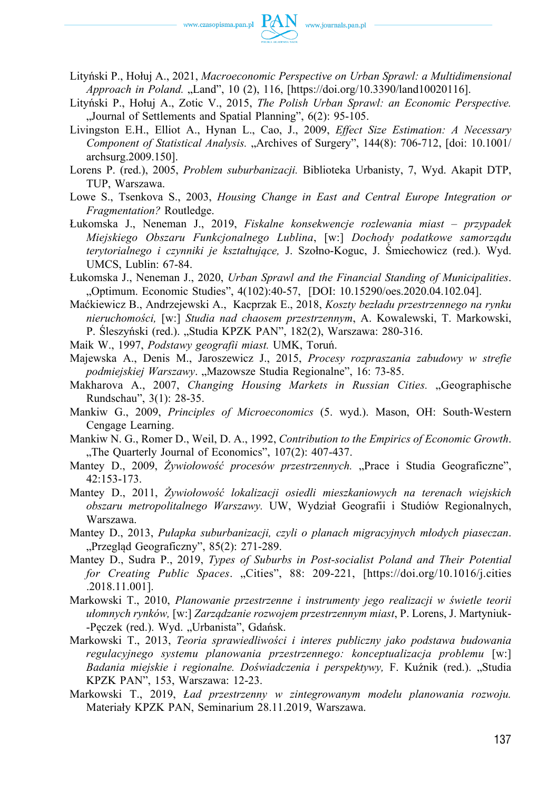

- Lityński P., Hołuj A., 2021, *Macroeconomic Perspective on Urban Sprawl: a Multidimensional Approach in Poland.* "Land", 10 (2), 116, [\[https://doi.org/10.3390/land10020116\].](https://doi.org/10.3390/land10020116])
- Lityński P., Hołuj A., Zotic V., 2015, *The Polish Urban Sprawl: an Economic Perspective.*  "Journal of Settlements and Spatial Planning", 6(2): 95-105.
- Livingston E.H., Elliot A., Hynan L., Cao, J., 2009, *Effect Size Estimation: A Necessary Component of Statistical Analysis.* "Archives of Surgery", 144(8): 706‑712, [doi: 10.1001/ archsurg.2009.150].
- Lorens P. (red.), 2005, *Problem suburbanizacji.* Biblioteka Urbanisty, 7, Wyd. Akapit DTP, TUP, Warszawa.
- Lowe S., Tsenkova S., 2003, *Housing Change in East and Central Europe Integration or Fragmentation?* Routledge.
- Łukomska J., Neneman J., 2019, *Fiskalne konsekwencje rozlewania miast przypadek Miejskiego Obszaru Funkcjonalnego Lublina*, [w:] *Dochody podatkowe samorządu terytorialnego i czynniki je kształtujące,* J. Szołno‑Koguc, J. Śmiechowicz (red.). Wyd. UMCS, Lublin: 67‑84.
- Łukomska J., Neneman J., 2020, *Urban Sprawl and the Financial Standing of Municipalities*. "Optimum. Economic Studies", 4(102):40‑57, [DOI: 10.15290/oes.2020.04.102.04].
- Maćkiewicz B., Andrzejewski A., Kacprzak E., 2018, *Koszty bezładu przestrzennego na rynku nieruchomości,* [w:] *Studia nad chaosem przestrzennym*, A. Kowalewski, T. Markowski, P. Śleszyński (red.). "Studia KPZK PAN", 182(2), Warszawa: 280-316.
- Maik W., 1997, *Podstawy geografii miast.* UMK, Toruń.
- Majewska A., Denis M., Jaroszewicz J., 2015, *Procesy rozpraszania zabudowy w strefie*  podmiejskiej Warszawy. "Mazowsze Studia Regionalne", 16: 73-85.
- Makharova A., 2007, *Changing Housing Markets in Russian Cities.* "Geographische Rundschau", 3(1): 28‑35.
- Mankiw G., 2009, *Principles of Microeconomics* (5. wyd.). Mason, OH: South‑Western Cengage Learning.
- Mankiw N. G., Romer D., Weil, D. A., 1992, *Contribution to the Empirics of Economic Growth*. "The Quarterly Journal of Economics", 107(2): 407-437.
- Mantey D., 2009, Żywiołowość procesów przestrzennych. "Prace i Studia Geograficzne", 42:153‑173.
- Mantey D., 2011, *Żywiołowość lokalizacji osiedli mieszkaniowych na terenach wiejskich obszaru metropolitalnego Warszawy.* UW, Wydział Geografii i Studiów Regionalnych, Warszawa.
- Mantey D., 2013, *Pułapka suburbanizacji, czyli o planach migracyjnych młodych piaseczan*. "Przegląd Geograficzny", 85(2): 271-289.
- Mantey D., Sudra P., 2019, *Types of Suburbs in Post‑socialist Poland and Their Potential for Creating Public Spaces*. "Cities", 88: 209‑221, [\[https://doi.org/10.1016/j.cities](https://doi.org/10.1016/j.cities.2018.11.001])  [.2018.11.001\].](https://doi.org/10.1016/j.cities.2018.11.001])
- Markowski T., 2010, *Planowanie przestrzenne i instrumenty jego realizacji w świetle teorii ułomnych rynków,* [w:] *Zarządzanie rozwojem przestrzennym miast*, P. Lorens, J. Martyniuk- -Pęczek (red.). Wyd. "Urbanista", Gdańsk.
- Markowski T., 2013, *Teoria sprawiedliwości i interes publiczny jako podstawa budowania regulacyjnego systemu planowania przestrzennego: konceptualizacja problemu* [w:] *Badania miejskie i regionalne. Doświadczenia i perspektywy,* F. Kuźnik (red.). "Studia KPZK PAN", 153, Warszawa: 12‑23.
- Markowski T., 2019, *Ład przestrzenny w zintegrowanym modelu planowania rozwoju.*  Materiały KPZK PAN, Seminarium 28.11.2019, Warszawa.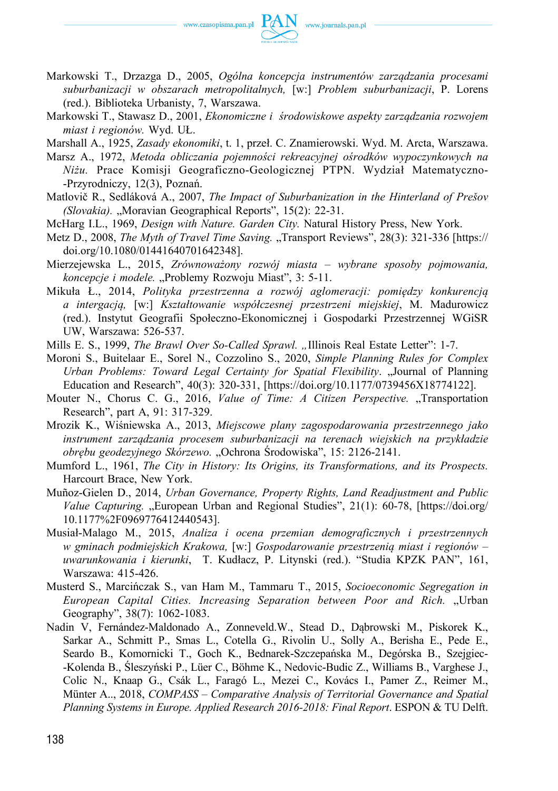

- Markowski T., Drzazga D., 2005, *Ogólna koncepcja instrumentów zarządzania procesami suburbanizacji w obszarach metropolitalnych,* [w:] *Problem suburbanizacji*, P. Lorens (red.). Biblioteka Urbanisty, 7, Warszawa.
- Markowski T., Stawasz D., 2001, *Ekonomiczne i środowiskowe aspekty zarządzania rozwojem miast i regionów.* Wyd. UŁ.
- Marshall A., 1925, *Zasady ekonomiki*, t. 1, przeł. C. Znamierowski. Wyd. M. Arcta, Warszawa.
- Marsz A., 1972, *Metoda obliczania pojemności rekreacyjnej ośrodków wypoczynkowych na Niżu.* Prace Komisji Geograficzno‑Geologicznej PTPN. Wydział Matematyczno- ‑Przyrodniczy, 12(3), Poznań.
- Matlovič R., Sedláková A., 2007, *The Impact of Suburbanization in the Hinterland of Prešov (Slovakia).* "Moravian Geographical Reports", 15(2): 22‑31.
- McHarg I.L., 1969, *Design with Nature. Garden City.* Natural History Press, New York.
- Metz D., 2008, *The Myth of Travel Time Saving.* "Transport Reviews", 28(3): 321-336 [https:// [doi.org/10.1080/01441640701642348\].](https://doi.org/10.1080/01441640701642348])
- Mierzejewska L., 2015, *Zrównoważony rozwój miasta wybrane sposoby pojmowania, koncepcje i modele.* "Problemy Rozwoju Miast", 3: 5-11.
- Mikuła Ł., 2014, *Polityka przestrzenna a rozwój aglomeracji: pomiędzy konkurencją a intergacją,* [w:] *Kształtowanie współczesnej przestrzeni miejskiej*, M. Madurowicz (red.). Instytut Geografii Społeczno‑Ekonomicznej i Gospodarki Przestrzennej WGiSR UW, Warszawa: 526‑537.
- Mills E. S., 1999, *The Brawl Over So-Called Sprawl.* "Illinois Real Estate Letter": 1-7.
- Moroni S., Buitelaar E., Sorel N., Cozzolino S., 2020, *Simple Planning Rules for Complex Urban Problems: Toward Legal Certainty for Spatial Flexibility*. "Journal of Planning Education and Research", 40(3): 320‑331, [\[https://doi.org/10.1177/0739456X18774122\].](https://doi.org/10.1177/0739456X18774122])
- Mouter N., Chorus C. G., 2016, *Value of Time: A Citizen Perspective.* "Transportation Research", part A, 91: 317‑329.
- Mrozik K., Wiśniewska A., 2013, *Miejscowe plany zagospodarowania przestrzennego jako instrument zarządzania procesem suburbanizacji na terenach wiejskich na przykładzie obrębu geodezyjnego Skórzewo.* "Ochrona Środowiska", 15: 2126‑2141.
- Mumford L., 1961, *The City in History: Its Origins, its Transformations, and its Prospects.*  Harcourt Brace, New York.
- Muñoz‑Gielen D., 2014, *Urban Governance, Property Rights, Land Readjustment and Public Value Capturing.* "European Urban and Regional Studies", 21(1): 60-78, [https://doi.org/ [10.1177%2F0969776412440543\].](https://doi.org/10.1177%2F0969776412440543])
- Musiał‑Malago M., 2015, *Analiza i ocena przemian demograficznych i przestrzennych w gminach podmiejskich Krakowa,* [w:] *Gospodarowanie przestrzenią miast i regionów – uwarunkowania i kierunki*, T. Kudłacz, P. Litynski (red.). "Studia KPZK PAN", 161, Warszawa: 415‑426.
- Musterd S., Marcińczak S., van Ham M., Tammaru T., 2015, *Socioeconomic Segregation in European Capital Cities. Increasing Separation between Poor and Rich.* "Urban Geography", 38(7): 1062-1083.
- Nadin V, Fernández‑Maldonado A., Zonneveld.W., Stead D., Dąbrowski M., Piskorek K., Sarkar A., Schmitt P., Smas L., Cotella G., Rivolin U., Solly A., Berisha E., Pede E., Seardo B., Komornicki T., Goch K., Bednarek‑Szczepańska M., Degórska B., Szejgiec- ‑Kolenda B., Śleszyński P., Lüer C., Böhme K., Nedovic‑Budic Z., Williams B., Varghese J., Colic N., Knaap G., Csák L., Faragó L., Mezei C., Kovács I., Pamer Z., Reimer M., Münter A.., 2018, *COMPASS – Comparative Analysis of Territorial Governance and Spatial Planning Systems in Europe. Applied Research 2016‑2018: Final Report*. ESPON & TU Delft.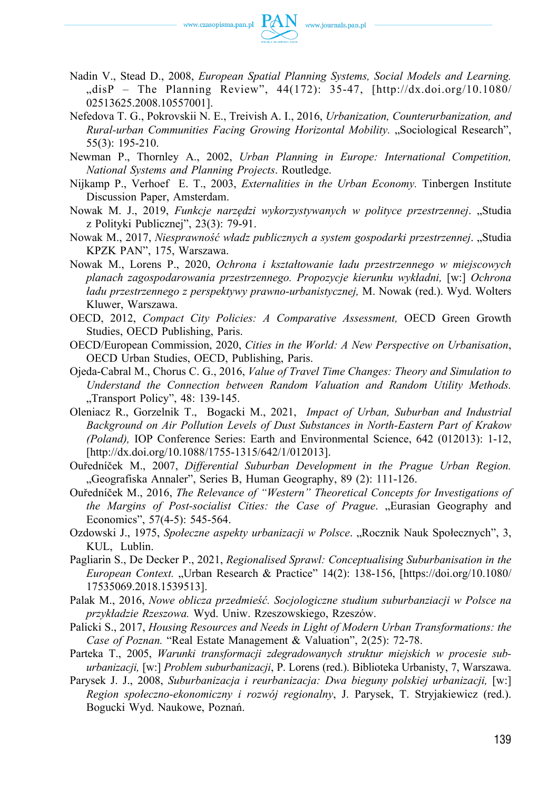

- Nadin V., Stead D., 2008, *European Spatial Planning Systems, Social Models and Learning.*  "disP – The Planning Review",  $44(172)$ : 35-47, [[http://dx.doi.org/10.1080/](http://dx.doi.org/10.1080/02513625.2008.10557001]) [02513625.2008.10557001\].](http://dx.doi.org/10.1080/02513625.2008.10557001])
- Nefedova T. G., Pokrovskii N. E., Treivish A. I., 2016, *Urbanization, Counterurbanization, and Rural-urban Communities Facing Growing Horizontal Mobility.* "Sociological Research", 55(3): 195‑210.
- Newman P., Thornley A., 2002, *Urban Planning in Europe: International Competition, National Systems and Planning Projects*. Routledge.
- Nijkamp P., Verhoef E. T., 2003, *Externalities in the Urban Economy.* Tinbergen Institute Discussion Paper, Amsterdam.
- Nowak M. J., 2019, *Funkcje narzędzi wykorzystywanych w polityce przestrzennej*. "Studia z Polityki Publicznej", 23(3): 79-91.
- Nowak M., 2017, *Niesprawność władz publicznych a system gospodarki przestrzennej*. "Studia KPZK PAN", 175, Warszawa.
- Nowak M., Lorens P., 2020, *Ochrona i kształtowanie ładu przestrzennego w miejscowych planach zagospodarowania przestrzennego. Propozycje kierunku wykładni,* [w:] *Ochrona ładu przestrzennego z perspektywy prawno‑urbanistycznej,* M. Nowak (red.). Wyd. Wolters Kluwer, Warszawa.
- OECD, 2012, *Compact City Policies: A Comparative Assessment,* OECD Green Growth Studies, OECD Publishing, Paris.
- OECD/European Commission, 2020, *Cities in the World: A New Perspective on Urbanisation*, OECD Urban Studies, OECD, Publishing, Paris.
- Ojeda‑Cabral M., Chorus C. G., 2016, *Value of Travel Time Changes: Theory and Simulation to Understand the Connection between Random Valuation and Random Utility Methods.*  "Transport Policy", 48: 139-145.
- Oleniacz R., Gorzelnik T., Bogacki M., 2021, *Impact of Urban, Suburban and Industrial Background on Air Pollution Levels of Dust Substances in North‑Eastern Part of Krakow (Poland), IOP Conference Series: Earth and Environmental Science, 642 (012013): 1-12,* [http://dx.doi.org/10.1088/1755-1315/642/1/012013].
- Ouředníček M., 2007, *Differential Suburban Development in the Prague Urban Region.*  "Geografiska Annaler", Series B, Human Geography, 89 (2): 111-126.
- Ouředníček M., 2016, *The Relevance of "Western" Theoretical Concepts for Investigations of the Margins of Post-socialist Cities: the Case of Prague.* "Eurasian Geography and Economics", 57(4-5): 545-564.
- Ozdowski J., 1975, *Społeczne aspekty urbanizacji w Polsce.* "Rocznik Nauk Społecznych", 3, KUL, Lublin.
- Pagliarin S., De Decker P., 2021, *Regionalised Sprawl: Conceptualising Suburbanisation in the European Context.* "Urban Research & Practice" 14(2): 138-156, [https://doi.org/10.1080/ [17535069.2018.1539513\].](https://doi.org/10.1080/17535069.2018.1539513])
- Palak M., 2016, *Nowe oblicza przedmieść. Socjologiczne studium suburbanziacji w Polsce na przykładzie Rzeszowa.* Wyd. Uniw. Rzeszowskiego, Rzeszów.
- Palicki S., 2017, *Housing Resources and Needs in Light of Modern Urban Transformations: the Case of Poznan.* "Real Estate Management & Valuation", 2(25): 72‑78.
- Parteka T., 2005, *Warunki transformacji zdegradowanych struktur miejskich w procesie suburbanizacji,* [w:] *Problem suburbanizacji*, P. Lorens (red.). Biblioteka Urbanisty, 7, Warszawa.
- Parysek J. J., 2008, *Suburbanizacja i reurbanizacja: Dwa bieguny polskiej urbanizacji*, [w:] *Region społeczno‑ekonomiczny i rozwój regionalny*, J. Parysek, T. Stryjakiewicz (red.). Bogucki Wyd. Naukowe, Poznań.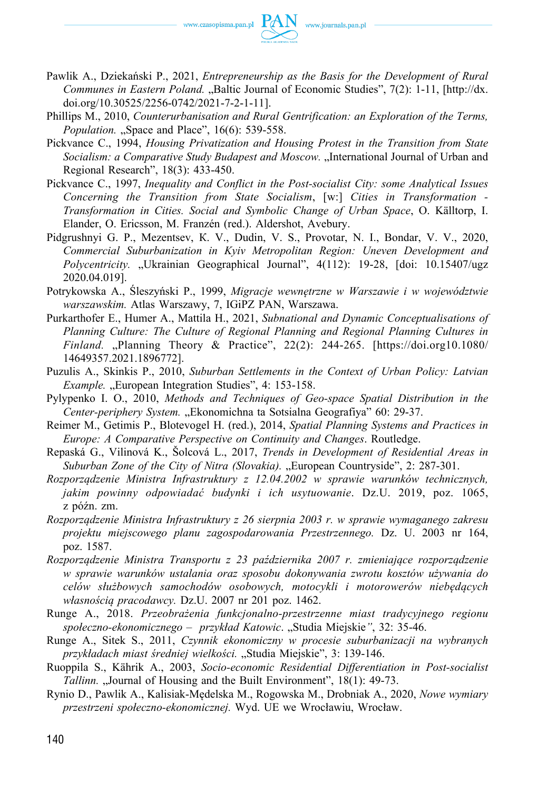- Pawlik A., Dziekański P., 2021, *Entrepreneurship as the Basis for the Development of Rural Communes in Eastern Poland.* "Baltic Journal of Economic Studies", 7(2): 1-11, [http://dx. [doi.org/10.30525/2256‑0742/2021‑7‑2‑1‑11\].](http://dx.doi.org/10.30525/2256-0742/2021-7-2-1-11])
- Phillips M., 2010, *Counterurbanisation and Rural Gentrification: an Exploration of the Terms, Population.* "Space and Place", 16(6): 539-558.
- Pickvance C., 1994, *Housing Privatization and Housing Protest in the Transition from State Socialism: a Comparative Study Budapest and Moscow.* "International Journal of Urban and Regional Research", 18(3): 433‑450.
- Pickvance C., 1997, *Inequality and Conflict in the Post‑socialist City: some Analytical Issues Concerning the Transition from State Socialism*, [w:] *Cities in Transformation ‑ Transformation in Cities. Social and Symbolic Change of Urban Space*, O. Källtorp, I. Elander, O. Ericsson, M. Franzén (red.). Aldershot, Avebury.
- Pidgrushnyi G. P., Mezentsev, К. V., Dudin, V. S., Provotar, N. I., Bondar, V. V., 2020, *Commercial Suburbanization in Kyiv Metropolitan Region: Uneven Development and Polycentricity.* "Ukrainian Geographical Journal", 4(112): 19-28, [doi: 10.15407/ugz 2020.04.019].
- Potrykowska A., Śleszyński P., 1999, *Migracje wewnętrzne w Warszawie i w województwie warszawskim.* Atlas Warszawy, 7, IGiPZ PAN, Warszawa.
- Purkarthofer E., Humer A., Mattila H., 2021, *Subnational and Dynamic Conceptualisations of Planning Culture: The Culture of Regional Planning and Regional Planning Cultures in Finland.* "Planning Theory & Practice", 22(2): 244‑265. [[https://doi.org10.1080/](https://doi.org10.1080/14649357.2021.1896772])  [14649357.2021.1896772\].](https://doi.org10.1080/14649357.2021.1896772])
- Puzulis A., Skinkis P., 2010, *Suburban Settlements in the Context of Urban Policy: Latvian Example.* "European Integration Studies", 4: 153-158.
- Pylypenko I. О., 2010, *Methods and Techniques of Geo‑space Spatial Distribution in the Center-periphery System.* "Ekonomichna ta Sotsialna Geografiya" 60: 29-37.
- Reimer M., Getimis P., Blotevogel H. (red.), 2014, *Spatial Planning Systems and Practices in Europe: A Comparative Perspective on Continuity and Changes*. Routledge.
- Repaská G., Vilinová K., Šolcová L., 2017, *Trends in Development of Residential Areas in Suburban Zone of the City of Nitra (Slovakia).* "European Countryside", 2: 287-301.
- *Rozporządzenie Ministra Infrastruktury z 12.04.2002 w sprawie warunków technicznych, jakim powinny odpowiadać budynki i ich usytuowanie*. Dz.U. 2019, poz. 1065, z późn. zm.
- *Rozporządzenie Ministra Infrastruktury z 26 sierpnia 2003 r. w sprawie wymaganego zakresu projektu miejscowego planu zagospodarowania Przestrzennego.* Dz. U. 2003 nr 164, poz. 1587.
- *Rozporządzenie Ministra Transportu z 23 października 2007 r. zmieniające rozporządzenie w sprawie warunków ustalania oraz sposobu dokonywania zwrotu kosztów używania do celów służbowych samochodów osobowych, motocykli i motorowerów niebędących własnością pracodawcy.* Dz.U. 2007 nr 201 poz. 1462.
- Runge A., 2018. *Przeobrażenia funkcjonalno‑przestrzenne miast tradycyjnego regionu społeczno‑ekonomicznego – przykład Katowic*. "Studia Miejskie*"*, 32: 35‑46.
- Runge A., Sitek S., 2011, *Czynnik ekonomiczny w procesie suburbanizacji na wybranych przykładach miast średniej wielkości.* "Studia Miejskie", 3: 139‑146.
- Ruoppila S., Kährik A., 2003, *Socio‑economic Residential Differentiation in Post‑socialist Tallinn.* "Journal of Housing and the Built Environment", 18(1): 49-73.
- Rynio D., Pawlik A., Kalisiak‑Mędelska M., Rogowska M., Drobniak A., 2020, *Nowe wymiary przestrzeni społeczno‑ekonomicznej.* Wyd. UE we Wrocławiu, Wrocław.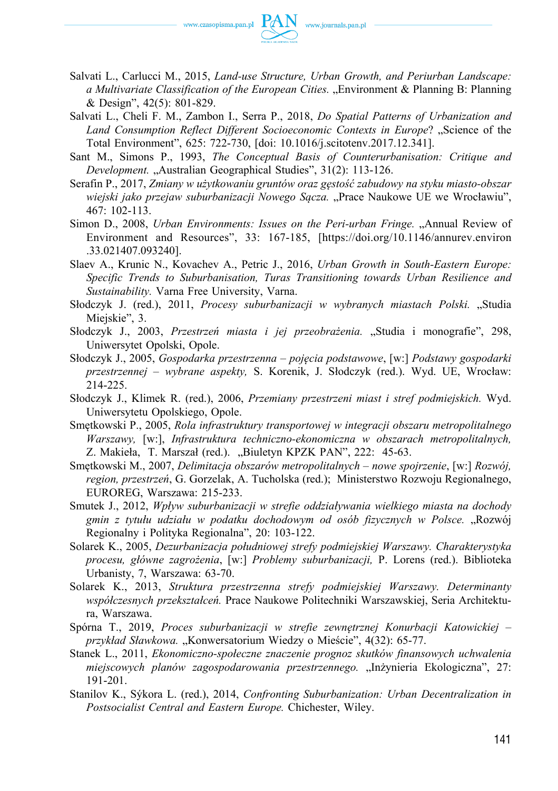

- Salvati L., Carlucci M., 2015, *Land‑use Structure, Urban Growth, and Periurban Landscape: a Multivariate Classification of the European Cities.* "Environment & Planning B: Planning & Design", 42(5): 801‑829.
- Salvati L., Cheli F. M., Zambon I., Serra P., 2018, *Do Spatial Patterns of Urbanization and*  Land Consumption Reflect Different Socioeconomic Contexts in Europe? "Science of the Total Environment", 625: 722‑730, [doi: 10.1016/j.scitotenv.2017.12.341].
- Sant M., Simons P., 1993, *The Conceptual Basis of Counterurbanisation: Critique and Development.* "Australian Geographical Studies", 31(2): 113-126.
- Serafin P., 2017, *Zmiany w użytkowaniu gruntów oraz gęstość zabudowy na styku miasto‑obszar*  wiejski jako przejaw suburbanizacji Nowego Sącza. "Prace Naukowe UE we Wrocławiu", 467: 102‑113.
- Simon D., 2008, *Urban Environments: Issues on the Peri-urban Fringe.* "Annual Review of Environment and Resources", 33: 167‑185, [[https://doi.org/10.1146/annurev.environ](https://doi.org/10.1146/annurev.environ.33.021407.093240])  [.33.021407.093240\].](https://doi.org/10.1146/annurev.environ.33.021407.093240])
- Slaev A., Krunic N., Kovachev A., Petric J., 2016, *Urban Growth in South-Eastern Europe: Specific Trends to Suburbanisation, Turas Transitioning towards Urban Resilience and Sustainability.* Varna Free University, Varna.
- Słodczyk J. (red.), 2011, *Procesy suburbanizacji w wybranych miastach Polski.* "Studia Miejskie", 3.
- Słodczyk J., 2003, Przestrzeń miasta i jej przeobrażenia. "Studia i monografie", 298, Uniwersytet Opolski, Opole.
- Słodczyk J., 2005, *Gospodarka przestrzenna pojęcia podstawowe*, [w:] *Podstawy gospodarki przestrzennej – wybrane aspekty,* S. Korenik, J. Słodczyk (red.). Wyd. UE, Wrocław: 214‑225.
- Słodczyk J., Klimek R. (red.), 2006, *Przemiany przestrzeni miast i stref podmiejskich.* Wyd. Uniwersytetu Opolskiego, Opole.
- Smętkowski P., 2005, *Rola infrastruktury transportowej w integracji obszaru metropolitalnego Warszawy,* [w:], *Infrastruktura techniczno‑ekonomiczna w obszarach metropolitalnych,*  Z. Makieła, T. Marszał (red.)., Biuletyn KPZK PAN", 222: 45-63.
- Smętkowski M., 2007, *Delimitacja obszarów metropolitalnych nowe spojrzenie*, [w:] *Rozwój, region, przestrzeń*, G. Gorzelak, A. Tucholska (red.); Ministerstwo Rozwoju Regionalnego, EUROREG, Warszawa: 215‑233.
- Smutek J., 2012, *Wpływ suburbanizacji w strefie oddziaływania wielkiego miasta na dochody gmin z tytułu udziału w podatku dochodowym od osób fizycznych w Polsce.* "Rozwój Regionalny i Polityka Regionalna", 20: 103‑122.
- Solarek K., 2005, *Dezurbanizacja południowej strefy podmiejskiej Warszawy. Charakterystyka procesu, główne zagrożenia*, [w:] *Problemy suburbanizacji,* P. Lorens (red.). Biblioteka Urbanisty, 7, Warszawa: 63‑70.
- Solarek K., 2013, *Struktura przestrzenna strefy podmiejskiej Warszawy. Determinanty współczesnych przekształceń.* Prace Naukowe Politechniki Warszawskiej, Seria Architektura, Warszawa.
- Spórna T., 2019, *Proces suburbanizacji w strefie zewnętrznej Konurbacji Katowickiej przykład Sławkowa.* "Konwersatorium Wiedzy o Mieście", 4(32): 65‑77.
- Stanek L., 2011, *Ekonomiczno‑społeczne znaczenie prognoz skutków finansowych uchwalenia miejscowych planów zagospodarowania przestrzennego.* "Inżynieria Ekologiczna", 27: 191‑201.
- Stanilov K., Sýkora L. (red.), 2014, *Confronting Suburbanization: Urban Decentralization in Postsocialist Central and Eastern Europe.* Chichester, Wiley.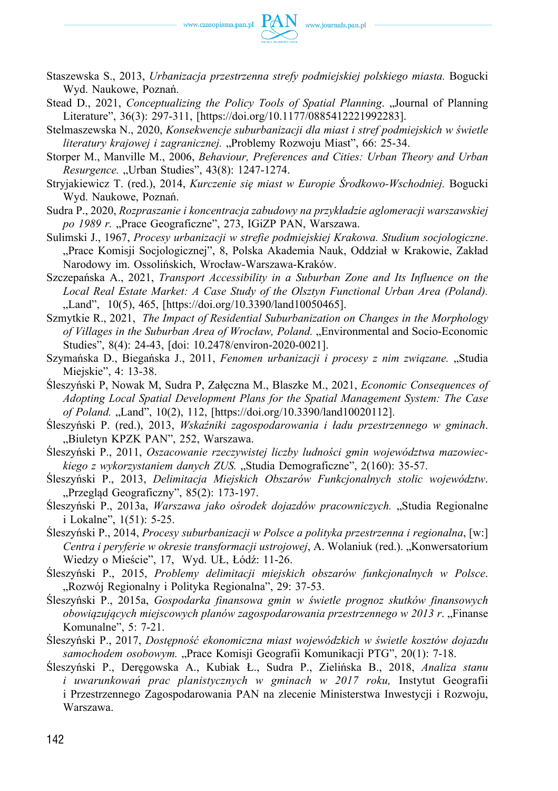

- Staszewska S., 2013, *Urbanizacja przestrzenna strefy podmiejskiej polskiego miasta.* Bogucki Wyd. Naukowe, Poznań.
- Stead D., 2021, *Conceptualizing the Policy Tools of Spatial Planning*. "Journal of Planning Literature", 36(3): 297‑311, [[https://doi.org/10.1177/0885412221992283\].](https://doi.org/10.1177/0885412221992283])

Stelmaszewska N., 2020, *Konsekwencje suburbanizacji dla miast i stref podmiejskich w świetle literatury krajowej i zagranicznej.* "Problemy Rozwoju Miast", 66: 25‑34.

Storper M., Manville M., 2006, *Behaviour, Preferences and Cities: Urban Theory and Urban Resurgence.* "Urban Studies", 43(8): 1247-1274.

Stryjakiewicz T. (red.), 2014, *Kurczenie się miast w Europie Środkowo‑Wschodniej.* Bogucki Wyd. Naukowe, Poznań.

Sudra P., 2020, *Rozpraszanie i koncentracja zabudowy na przykładzie aglomeracji warszawskiej*  po 1989 r. "Prace Geograficzne", 273, IGiZP PAN, Warszawa.

Sulimski J., 1967, *Procesy urbanizacji w strefie podmiejskiej Krakowa. Studium socjologiczne*. "Prace Komisji Socjologicznej", 8, Polska Akademia Nauk, Oddział w Krakowie, Zakład Narodowy im. Ossolińskich, Wrocław‑Warszawa‑Kraków.

- Szczepańska A., 2021, *Transport Accessibility in a Suburban Zone and Its Influence on the Local Real Estate Market: A Case Study of the Olsztyn Functional Urban Area (Poland).*  "Land", 10(5), 465, [https://doi.org/10.3390/land10050465].
- Szmytkie R., 2021, *The Impact of Residential Suburbanization on Changes in the Morphology*  of Villages in the Suburban Area of Wrocław, Poland. "Environmental and Socio-Economic Studies", 8(4): 24-43, [doi: 10.2478/environ-2020-0021].

Szymańska D., Biegańska J., 2011, *Fenomen urbanizacji i procesy z nim związane.* "Studia Miejskie", 4: 13‑38.

Śleszyński P, Nowak M, Sudra P, Załęczna M., Blaszke M., 2021, *Economic Consequences of Adopting Local Spatial Development Plans for the Spatial Management System: The Case of Poland.* "Land", 10(2), 112, [\[https://doi.org/10.3390/land10020112\].](https://doi.org/10.3390/land10020112])

Śleszyński P. (red.), 2013, *Wskaźniki zagospodarowania i ładu przestrzennego w gminach*. "Biuletyn KPZK PAN", 252, Warszawa.

Śleszyński P., 2011, *Oszacowanie rzeczywistej liczby ludności gmin województwa mazowieckiego z wykorzystaniem danych ZUS.* "Studia Demograficzne", 2(160): 35‑57.

Śleszyński P., 2013, *Delimitacja Miejskich Obszarów Funkcjonalnych stolic województw*. "Przegląd Geograficzny", 85(2): 173-197.

- Śleszyński P., 2013a, *Warszawa jako ośrodek dojazdów pracowniczych.* "Studia Regionalne i Lokalne", 1(51): 5‑25.
- Śleszyński P., 2014, *Procesy suburbanizacji w Polsce a polityka przestrzenna i regionalna*, [w:] *Centra i peryferie w okresie transformacji ustrojowej*, A. Wolaniuk (red.). "Konwersatorium Wiedzy o Mieście", 17, Wyd. UŁ, Łódź: 11‑26.

Śleszyński P., 2015, *Problemy delimitacji miejskich obszarów funkcjonalnych w Polsce*. "Rozwój Regionalny i Polityka Regionalna", 29: 37-53.

- Śleszyński P., 2015a, *Gospodarka finansowa gmin w świetle prognoz skutków finansowych obowiązujących miejscowych planów zagospodarowania przestrzennego w 2013 r*. "Finanse Komunalne", 5: 7‑21.
- Śleszyński P., 2017, *Dostępność ekonomiczna miast wojewódzkich w świetle kosztów dojazdu*  samochodem osobowym. "Prace Komisji Geografii Komunikacji PTG", 20(1): 7-18.
- Śleszyński P., Deręgowska A., Kubiak Ł., Sudra P., Zielińska B., 2018, *Analiza stanu i uwarunkowań prac planistycznych w gminach w 2017 roku,* Instytut Geografii i Przestrzennego Zagospodarowania PAN na zlecenie Ministerstwa Inwestycji i Rozwoju, Warszawa.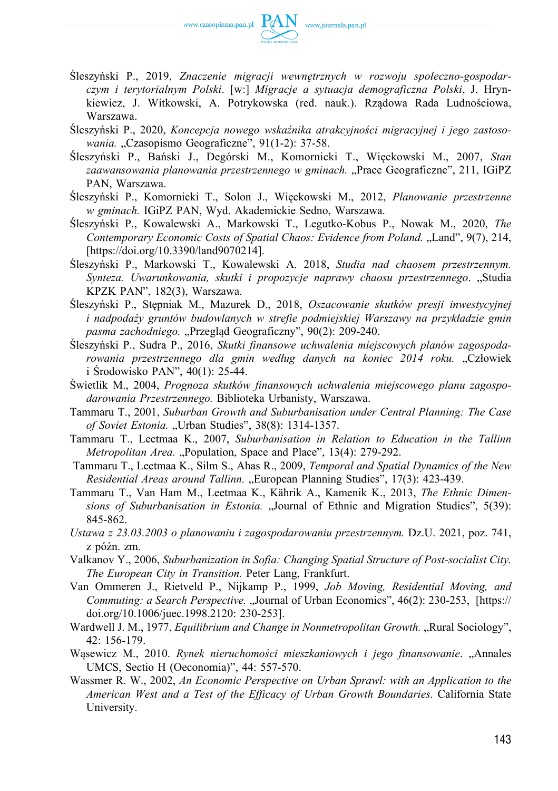

- Śleszyński P., 2019, *Znaczenie migracji wewnętrznych w rozwoju społeczno‑gospodarczym i terytorialnym Polski*. [w:] *Migracje a sytuacja demograficzna Polski*, J. Hrynkiewicz, J. Witkowski, A. Potrykowska (red. nauk.). Rządowa Rada Ludnościowa, Warszawa.
- Śleszyński P., 2020, *Koncepcja nowego wskaźnika atrakcyjności migracyjnej i jego zastosowania.* "Czasopismo Geograficzne", 91(1-2): 37-58.
- Śleszyński P., Bański J., Degórski M., Komornicki T., Więckowski M., 2007, *Stan zaawansowania planowania przestrzennego w gminach.* "Prace Geograficzne", 211, IGiPZ PAN, Warszawa.
- Śleszyński P., Komornicki T., Solon J., Więckowski M., 2012, *Planowanie przestrzenne w gminach.* IGiPZ PAN, Wyd. Akademickie Sedno, Warszawa.
- Śleszyński P., Kowalewski A., Markowski T., Legutko‑Kobus P., Nowak M., 2020, *The Contemporary Economic Costs of Spatial Chaos: Evidence from Poland.* "Land", 9(7), 214, [[https://doi.org/10.3390/land9070214\].](https://doi.org/10.3390/land9070214])
- Śleszyński P., Markowski T., Kowalewski A. 2018, *Studia nad chaosem przestrzennym. Synteza. Uwarunkowania, skutki i propozycje naprawy chaosu przestrzennego*. "Studia KPZK PAN", 182(3), Warszawa.
- Śleszyński P., Stępniak M., Mazurek D., 2018, *Oszacowanie skutków presji inwestycyjnej i nadpodaży gruntów budowlanych w strefie podmiejskiej Warszawy na przykładzie gmin*  pasma zachodniego. "Przegląd Geograficzny", 90(2): 209-240.
- Śleszyński P., Sudra P., 2016, *Skutki finansowe uchwalenia miejscowych planów zagospodarowania przestrzennego dla gmin według danych na koniec 2014 roku.* "Człowiek i Środowisko PAN", 40(1): 25‑44.
- Świetlik M., 2004, *Prognoza skutków finansowych uchwalenia miejscowego planu zagospodarowania Przestrzennego.* Biblioteka Urbanisty, Warszawa.
- Tammaru T., 2001, *Suburban Growth and Suburbanisation under Central Planning: The Case*  of Soviet Estonia. "Urban Studies", 38(8): 1314-1357.
- Tammaru T., Leetmaa K., 2007, *Suburbanisation in Relation to Education in the Tallinn Metropolitan Area.* "Population, Space and Place", 13(4): 279-292.
- Tammaru T., Leetmaa K., Silm S., Ahas R., 2009, *Temporal and Spatial Dynamics of the New Residential Areas around Tallinn.* "European Planning Studies", 17(3): 423-439.
- Tammaru T., Van Ham M., Leetmaa K., Kährik A., Kamenik K., 2013, *The Ethnic Dimensions of Suburbanisation in Estonia.* "Journal of Ethnic and Migration Studies", 5(39): 845‑862.
- *Ustawa z 23.03.2003 o planowaniu i zagospodarowaniu przestrzennym.* Dz.U. 2021, poz. 741, z późn. zm.
- Valkanov Y., 2006, *Suburbanization in Sofia: Changing Spatial Structure of Post‑socialist City. The European City in Transition.* Peter Lang, Frankfurt.
- Van Ommeren J., Rietveld P., Nijkamp P., 1999, *Job Moving, Residential Moving, and Commuting: a Search Perspective.* "Journal of Urban Economics", 46(2): 230-253, [https:// [doi.org/10.1006/juec.1998.2120:](https://doi.org/10.1006/juec.1998.2120:) 230‑253].
- Wardwell J. M., 1977, *Equilibrium and Change in Nonmetropolitan Growth.* "Rural Sociology", 42: 156‑179.
- Wąsewicz M., 2010. *Rynek nieruchomości mieszkaniowych i jego finansowanie*. "Annales UMCS, Sectio H (Oeconomia)", 44: 557‑570.
- Wassmer R. W., 2002, *An Economic Perspective on Urban Sprawl: with an Application to the American West and a Test of the Efficacy of Urban Growth Boundaries.* California State University.